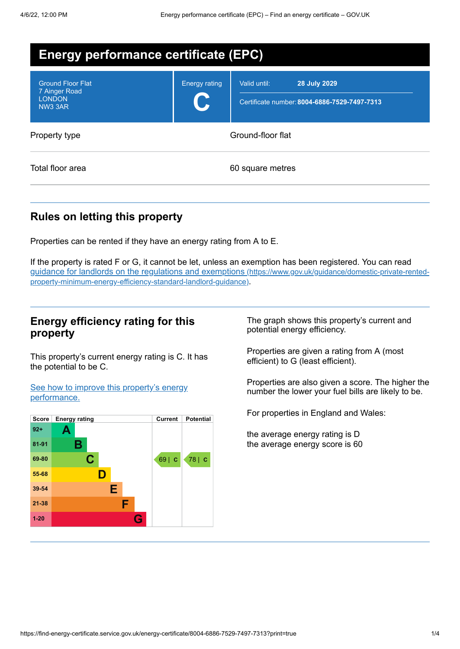| <b>Energy performance certificate (EPC)</b>                           |                      |                                                                                     |  |
|-----------------------------------------------------------------------|----------------------|-------------------------------------------------------------------------------------|--|
| <b>Ground Floor Flat</b><br>7 Ainger Road<br><b>LONDON</b><br>NW3 3AR | <b>Energy rating</b> | Valid until:<br><b>28 July 2029</b><br>Certificate number: 8004-6886-7529-7497-7313 |  |
| Property type                                                         |                      | Ground-floor flat                                                                   |  |
| Total floor area                                                      |                      | 60 square metres                                                                    |  |

## **Rules on letting this property**

Properties can be rented if they have an energy rating from A to E.

If the property is rated F or G, it cannot be let, unless an exemption has been registered. You can read guidance for landlords on the regulations and exemptions (https://www.gov.uk/guidance/domestic-private-rented[property-minimum-energy-efficiency-standard-landlord-guidance\)](https://www.gov.uk/guidance/domestic-private-rented-property-minimum-energy-efficiency-standard-landlord-guidance).

#### **Energy efficiency rating for this property**

This property's current energy rating is C. It has the potential to be C.

See how to improve this property's energy [performance.](#page-2-0)



The graph shows this property's current and potential energy efficiency.

Properties are given a rating from A (most efficient) to G (least efficient).

Properties are also given a score. The higher the number the lower your fuel bills are likely to be.

For properties in England and Wales:

the average energy rating is D the average energy score is 60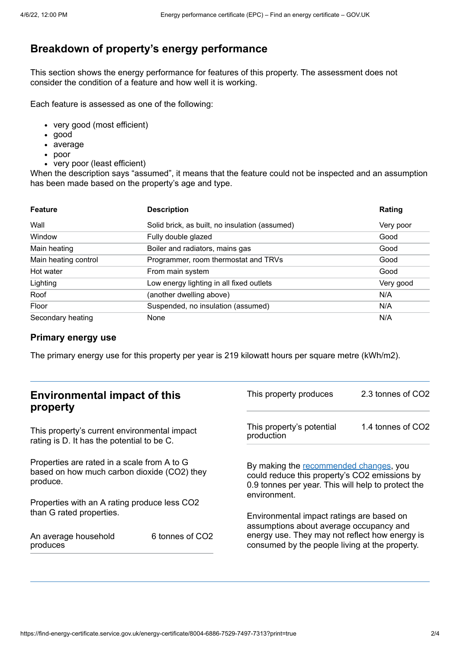## **Breakdown of property's energy performance**

This section shows the energy performance for features of this property. The assessment does not consider the condition of a feature and how well it is working.

Each feature is assessed as one of the following:

- very good (most efficient)
- good
- average
- poor
- very poor (least efficient)

When the description says "assumed", it means that the feature could not be inspected and an assumption has been made based on the property's age and type.

| <b>Feature</b>       | <b>Description</b>                             | Rating    |
|----------------------|------------------------------------------------|-----------|
| Wall                 | Solid brick, as built, no insulation (assumed) | Very poor |
| Window               | Fully double glazed                            | Good      |
| Main heating         | Boiler and radiators, mains gas                | Good      |
| Main heating control | Programmer, room thermostat and TRVs           | Good      |
| Hot water            | From main system                               | Good      |
| Lighting             | Low energy lighting in all fixed outlets       | Very good |
| Roof                 | (another dwelling above)                       | N/A       |
| Floor                | Suspended, no insulation (assumed)             | N/A       |
| Secondary heating    | None                                           | N/A       |

#### **Primary energy use**

The primary energy use for this property per year is 219 kilowatt hours per square metre (kWh/m2).

| <b>Environmental impact of this</b><br>property                                                        |                             | This property produces                                                                                                                                        | 2.3 tonnes of CO2 |
|--------------------------------------------------------------------------------------------------------|-----------------------------|---------------------------------------------------------------------------------------------------------------------------------------------------------------|-------------------|
| This property's current environmental impact<br>rating is D. It has the potential to be C.             |                             | This property's potential<br>production                                                                                                                       | 1.4 tonnes of CO2 |
| Properties are rated in a scale from A to G<br>based on how much carbon dioxide (CO2) they<br>produce. |                             | By making the recommended changes, you<br>could reduce this property's CO2 emissions by<br>0.9 tonnes per year. This will help to protect the<br>environment. |                   |
| Properties with an A rating produce less CO2                                                           |                             |                                                                                                                                                               |                   |
| than G rated properties.<br>An average household                                                       | 6 tonnes of CO <sub>2</sub> | Environmental impact ratings are based on<br>assumptions about average occupancy and<br>energy use. They may not reflect how energy is                        |                   |
| produces                                                                                               |                             | consumed by the people living at the property.                                                                                                                |                   |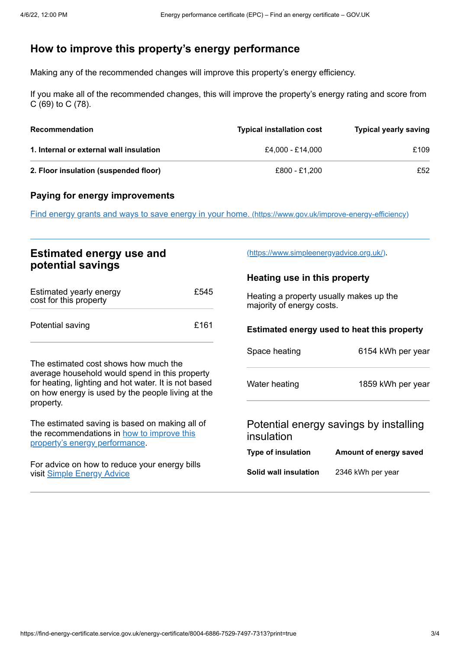## <span id="page-2-0"></span>**How to improve this property's energy performance**

Making any of the recommended changes will improve this property's energy efficiency.

If you make all of the recommended changes, this will improve the property's energy rating and score from C (69) to C (78).

| Recommendation                          | <b>Typical installation cost</b> | <b>Typical yearly saving</b> |
|-----------------------------------------|----------------------------------|------------------------------|
| 1. Internal or external wall insulation | £4.000 - £14.000                 | £109                         |
| 2. Floor insulation (suspended floor)   | £800 - £1.200                    | £52                          |

#### **Paying for energy improvements**

Find energy grants and ways to save energy in your home. [\(https://www.gov.uk/improve-energy-efficiency\)](https://www.gov.uk/improve-energy-efficiency)

### **Estimated energy use and potential savings**

| Estimated yearly energy<br>cost for this property | £545 |
|---------------------------------------------------|------|
| Potential saving                                  | £161 |

The estimated cost shows how much the average household would spend in this property for heating, lighting and hot water. It is not based on how energy is used by the people living at the property.

The estimated saving is based on making all of the [recommendations](#page-2-0) in how to improve this property's energy performance.

For advice on how to reduce your energy bills visit Simple [Energy](https://www.simpleenergyadvice.org.uk/) Advice

[\(https://www.simpleenergyadvice.org.uk/\)](https://www.simpleenergyadvice.org.uk/).

#### **Heating use in this property**

Heating a property usually makes up the majority of energy costs.

# **Estimated energy used to heat this property**

| Space heating                          | 6154 kWh per year |  |  |
|----------------------------------------|-------------------|--|--|
| Water heating                          | 1859 kWh per year |  |  |
| Potential energy savings by installing |                   |  |  |

# insulation

| <b>Type of insulation</b> | Amount of energy saved |
|---------------------------|------------------------|
|                           |                        |

**Solid wall insulation** 2346 kWh per year